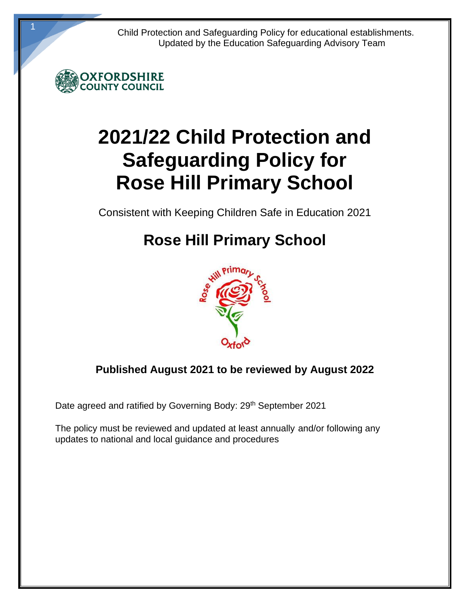Child Protection and Safeguarding Policy for educational establishments. Updated by the Education Safeguarding Advisory Team



1

# **2021/22 Child Protection and Safeguarding Policy for Rose Hill Primary School**

Consistent with Keeping Children Safe in Education 2021

## **Rose Hill Primary School**



## **Published August 2021 to be reviewed by August 2022**

Date agreed and ratified by Governing Body: 29<sup>th</sup> September 2021

The policy must be reviewed and updated at least annually and/or following any updates to national and local guidance and procedures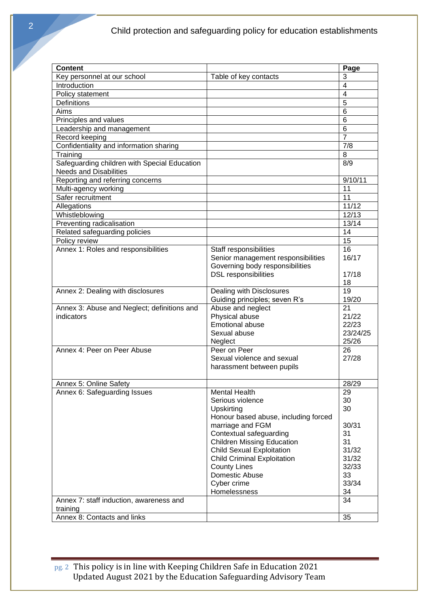| <b>Content</b>                               |                                      | Page     |
|----------------------------------------------|--------------------------------------|----------|
| Key personnel at our school                  | Table of key contacts                | 3        |
| Introduction                                 |                                      | 4        |
| Policy statement                             |                                      | 4        |
| Definitions                                  |                                      | 5        |
| Aims                                         |                                      | 6        |
| Principles and values                        |                                      | 6        |
| Leadership and management                    |                                      | 6        |
| Record keeping                               |                                      | 7        |
| Confidentiality and information sharing      |                                      | 7/8      |
| Training                                     |                                      | 8        |
| Safeguarding children with Special Education |                                      | 8/9      |
| <b>Needs and Disabilities</b>                |                                      |          |
| Reporting and referring concerns             |                                      | 9/10/11  |
| Multi-agency working                         |                                      | 11       |
| Safer recruitment                            |                                      | 11       |
| Allegations                                  |                                      | 11/12    |
| Whistleblowing                               |                                      | 12/13    |
| Preventing radicalisation                    |                                      | 13/14    |
| Related safeguarding policies                |                                      | 14       |
| Policy review                                |                                      | 15       |
| Annex 1: Roles and responsibilities          | Staff responsibilities               | 16       |
|                                              | Senior management responsibilities   | 16/17    |
|                                              | Governing body responsibilities      |          |
|                                              | <b>DSL responsibilities</b>          | 17/18    |
|                                              |                                      | 18       |
| Annex 2: Dealing with disclosures            | Dealing with Disclosures             | 19       |
|                                              | Guiding principles; seven R's        | 19/20    |
| Annex 3: Abuse and Neglect; definitions and  | Abuse and neglect                    | 21       |
| indicators                                   | Physical abuse                       | 21/22    |
|                                              | <b>Emotional abuse</b>               | 22/23    |
|                                              | Sexual abuse                         | 23/24/25 |
|                                              | Neglect                              | 25/26    |
| Annex 4: Peer on Peer Abuse                  | Peer on Peer                         | 26       |
|                                              | Sexual violence and sexual           | 27/28    |
|                                              | harassment between pupils            |          |
| Annex 5: Online Safety                       |                                      | 28/29    |
| Annex 6: Safeguarding Issues                 | <b>Mental Health</b>                 | 29       |
|                                              | Serious violence                     | 30       |
|                                              | Upskirting                           | 30       |
|                                              | Honour based abuse, including forced |          |
|                                              | marriage and FGM                     | 30/31    |
|                                              | Contextual safeguarding              | 31       |
|                                              | <b>Children Missing Education</b>    | 31       |
|                                              | <b>Child Sexual Exploitation</b>     | 31/32    |
|                                              | <b>Child Criminal Exploitation</b>   | 31/32    |
|                                              | <b>County Lines</b>                  | 32/33    |
|                                              | Domestic Abuse                       | 33       |
|                                              | Cyber crime                          | 33/34    |
|                                              | Homelessness                         | 34       |
| Annex 7: staff induction, awareness and      |                                      | 34       |
| training                                     |                                      |          |
| Annex 8: Contacts and links                  |                                      | 35       |

pg. 2 This policy is in line with Keeping Children Safe in Education 2021 Updated August 2021 by the Education Safeguarding Advisory Team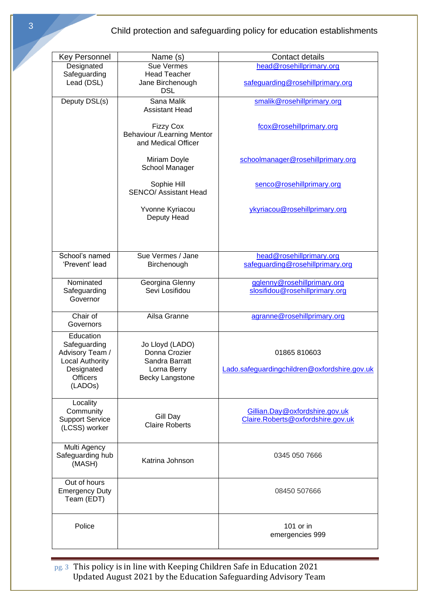| <b>Key Personnel</b>                                                                                                            | Name (s)                                                                                    | Contact details                                                     |
|---------------------------------------------------------------------------------------------------------------------------------|---------------------------------------------------------------------------------------------|---------------------------------------------------------------------|
| Designated                                                                                                                      | Sue Vermes                                                                                  | head@rosehillprimary.org                                            |
| Safeguarding<br>Lead (DSL)                                                                                                      | <b>Head Teacher</b><br>Jane Birchenough<br><b>DSL</b>                                       | safeguarding@rosehillprimary.org                                    |
| Deputy DSL(s)                                                                                                                   | Sana Malik<br><b>Assistant Head</b>                                                         | smalik@rosehillprimary.org                                          |
|                                                                                                                                 | <b>Fizzy Cox</b><br><b>Behaviour /Learning Mentor</b><br>and Medical Officer                | fcox@rosehillprimary.org                                            |
|                                                                                                                                 | Miriam Doyle<br>School Manager                                                              | schoolmanager@rosehillprimary.org                                   |
|                                                                                                                                 | Sophie Hill<br><b>SENCO/ Assistant Head</b>                                                 | senco@rosehillprimary.org                                           |
|                                                                                                                                 | Yvonne Kyriacou<br>Deputy Head                                                              | ykyriacou@rosehillprimary.org                                       |
| School's named<br>'Prevent' lead                                                                                                | Sue Vermes / Jane<br>Birchenough                                                            | head@rosehillprimary.org<br>safeguarding@rosehillprimary.org        |
| Nominated<br>Safeguarding<br>Governor                                                                                           | Georgina Glenny<br>Sevi Losifidou                                                           | gglenny@rosehillprimary.org<br>slosifidou@rosehillprimary.org       |
| Chair of<br>Governors                                                                                                           | Ailsa Granne                                                                                | agranne@rosehillprimary.org                                         |
| Education<br>Safeguarding<br>Advisory Team /<br><b>Local Authority</b><br>Designated<br><b>Officers</b><br>(LADO <sub>s</sub> ) | Jo Lloyd (LADO)<br>Donna Crozier<br>Sandra Barratt<br>Lorna Berry<br><b>Becky Langstone</b> | 01865 810603<br>Lado.safeguardingchildren@oxfordshire.gov.uk        |
| Locality<br>Community<br><b>Support Service</b><br>(LCSS) worker                                                                | Gill Day<br><b>Claire Roberts</b>                                                           | Gillian.Day@oxfordshire.gov.uk<br>Claire.Roberts@oxfordshire.gov.uk |
| Multi Agency<br>Safeguarding hub<br>(MASH)                                                                                      | Katrina Johnson                                                                             | 0345 050 7666                                                       |
| Out of hours<br><b>Emergency Duty</b><br>Team (EDT)                                                                             |                                                                                             | 08450 507666                                                        |
| Police                                                                                                                          |                                                                                             | 101 or in<br>emergencies 999                                        |

pg. 3 This policy is in line with Keeping Children Safe in Education 2021 Updated August 2021 by the Education Safeguarding Advisory Team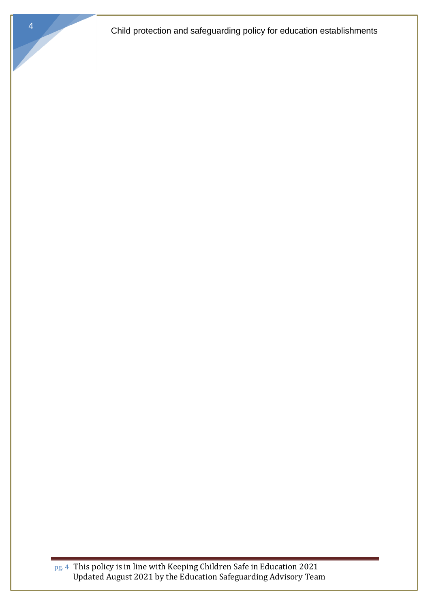pg. 4 This policy is in line with Keeping Children Safe in Education 2021 Updated August 2021 by the Education Safeguarding Advisory Team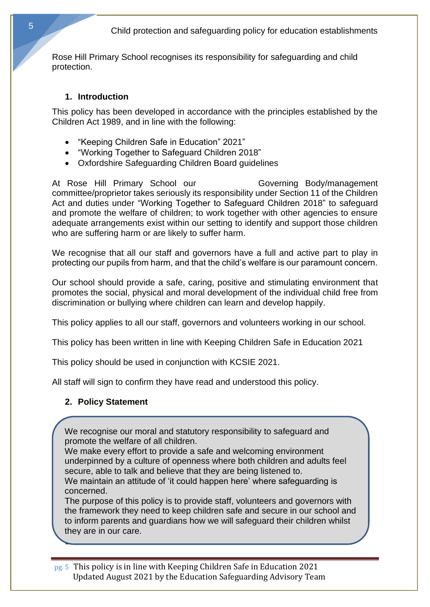Rose Hill Primary School recognises its responsibility for safeguarding and child protection.

#### **1. Introduction**

This policy has been developed in accordance with the principles established by the Children Act 1989, and in line with the following:

- "Keeping Children Safe in Education" 2021"
- "Working Together to Safeguard Children 2018"
- Oxfordshire Safeguarding Children Board guidelines

At Rose Hill Primary School our Governing Body/management committee/proprietor takes seriously its responsibility under Section 11 of the Children Act and duties under "Working Together to Safeguard Children 2018" to safeguard and promote the welfare of children; to work together with other agencies to ensure adequate arrangements exist within our setting to identify and support those children who are suffering harm or are likely to suffer harm.

We recognise that all our staff and governors have a full and active part to play in protecting our pupils from harm, and that the child's welfare is our paramount concern.

Our school should provide a safe, caring, positive and stimulating environment that promotes the social, physical and moral development of the individual child free from discrimination or bullying where children can learn and develop happily.

This policy applies to all our staff, governors and volunteers working in our school.

This policy has been written in line with Keeping Children Safe in Education 2021

This policy should be used in conjunction with KCSIE 2021.

All staff will sign to confirm they have read and understood this policy.

#### **2. Policy Statement**

**3. Definitions**

We recognise our moral and statutory responsibility to safeguard and promote the welfare of all children.

We make every effort to provide a safe and welcoming environment underpinned by a culture of openness where both children and adults feel secure, able to talk and believe that they are being listened to.

We maintain an attitude of 'it could happen here' where safeguarding is concerned.

The purpose of this policy is to provide staff, volunteers and governors with the framework they need to keep children safe and secure in our school and to inform parents and guardians how we will safeguard their children whilst they are in our care.

pg. 5 This policy is in line with Keeping Children Safe in Education 2021 Updated August 2021 by the Education Safeguarding Advisory Team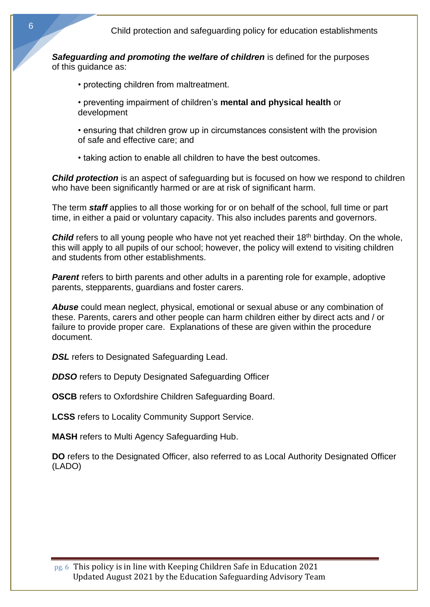*Safeguarding and promoting the welfare of children* is defined for the purposes of this guidance as:

- protecting children from maltreatment.
- preventing impairment of children's **mental and physical health** or development
- ensuring that children grow up in circumstances consistent with the provision of safe and effective care; and
- taking action to enable all children to have the best outcomes.

**Child protection** is an aspect of safeguarding but is focused on how we respond to children who have been significantly harmed or are at risk of significant harm.

The term *staff* applies to all those working for or on behalf of the school, full time or part time, in either a paid or voluntary capacity. This also includes parents and governors.

**Child** refers to all young people who have not yet reached their 18<sup>th</sup> birthday. On the whole, this will apply to all pupils of our school; however, the policy will extend to visiting children and students from other establishments.

**Parent** refers to birth parents and other adults in a parenting role for example, adoptive parents, stepparents, guardians and foster carers.

*Abuse* could mean neglect, physical, emotional or sexual abuse or any combination of these. Parents, carers and other people can harm children either by direct acts and / or failure to provide proper care. Explanations of these are given within the procedure document.

**DSL** refers to Designated Safeguarding Lead.

**DDSO** refers to Deputy Designated Safeguarding Officer

**OSCB** refers to Oxfordshire Children Safeguarding Board.

**LCSS** refers to Locality Community Support Service.

**MASH** refers to Multi Agency Safeguarding Hub.

**DO** refers to the Designated Officer, also referred to as Local Authority Designated Officer (LADO)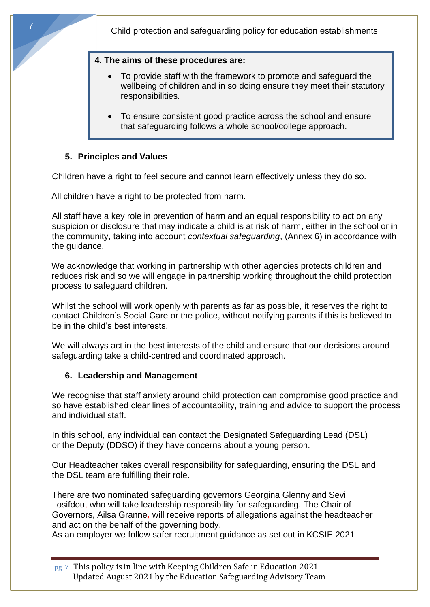#### **4. The aims of these procedures are:**

- To provide staff with the framework to promote and safeguard the wellbeing of children and in so doing ensure they meet their statutory responsibilities.
- To ensure consistent good practice across the school and ensure that safeguarding follows a whole school/college approach.

#### **5. Principles and Values**

Children have a right to feel secure and cannot learn effectively unless they do so.

All children have a right to be protected from harm.

All staff have a key role in prevention of harm and an equal responsibility to act on any suspicion or disclosure that may indicate a child is at risk of harm, either in the school or in the community, taking into account *contextual safeguarding*, (Annex 6) in accordance with the guidance.

We acknowledge that working in partnership with other agencies protects children and reduces risk and so we will engage in partnership working throughout the child protection process to safeguard children.

Whilst the school will work openly with parents as far as possible, it reserves the right to contact Children's Social Care or the police, without notifying parents if this is believed to be in the child's best interests.

We will always act in the best interests of the child and ensure that our decisions around safeguarding take a child-centred and coordinated approach.

#### **6. Leadership and Management**

We recognise that staff anxiety around child protection can compromise good practice and so have established clear lines of accountability, training and advice to support the process and individual staff.

In this school, any individual can contact the Designated Safeguarding Lead (DSL) or the Deputy (DDSO) if they have concerns about a young person.

Our Headteacher takes overall responsibility for safeguarding, ensuring the DSL and the DSL team are fulfilling their role.

There are two nominated safeguarding governors Georgina Glenny and Sevi Losifdou, who will take leadership responsibility for safeguarding. The Chair of Governors, Ailsa Granne*,* will receive reports of allegations against the headteacher and act on the behalf of the governing body.

As an employer we follow safer recruitment guidance as set out in KCSIE 2021

pg. 7 This policy is in line with Keeping Children Safe in Education 2021 Updated August 2021 by the Education Safeguarding Advisory Team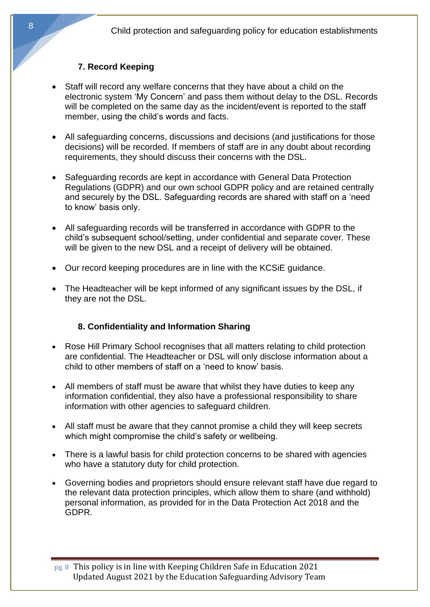## **7. Record Keeping**

- Staff will record any welfare concerns that they have about a child on the electronic system 'My Concern' and pass them without delay to the DSL. Records will be completed on the same day as the incident/event is reported to the staff member, using the child's words and facts.
- All safeguarding concerns, discussions and decisions (and justifications for those decisions) will be recorded. If members of staff are in any doubt about recording requirements, they should discuss their concerns with the DSL.
- Safeguarding records are kept in accordance with General Data Protection Regulations (GDPR) and our own school GDPR policy and are retained centrally and securely by the DSL. Safeguarding records are shared with staff on a 'need to know' basis only.
- All safeguarding records will be transferred in accordance with GDPR to the child's subsequent school/setting, under confidential and separate cover. These will be given to the new DSL and a receipt of delivery will be obtained.
- Our record keeping procedures are in line with the KCSiE guidance.
- The Headteacher will be kept informed of any significant issues by the DSL, if they are not the DSL.

## **8. Confidentiality and Information Sharing**

- Rose Hill Primary School recognises that all matters relating to child protection are confidential. The Headteacher or DSL will only disclose information about a child to other members of staff on a 'need to know' basis.
- All members of staff must be aware that whilst they have duties to keep any information confidential, they also have a professional responsibility to share information with other agencies to safeguard children.
- All staff must be aware that they cannot promise a child they will keep secrets which might compromise the child's safety or wellbeing.
- There is a lawful basis for child protection concerns to be shared with agencies who have a statutory duty for child protection.
- Governing bodies and proprietors should ensure relevant staff have due regard to the relevant data protection principles, which allow them to share (and withhold) personal information, as provided for in the Data Protection Act 2018 and the GDPR.

pg. 8 This policy is in line with Keeping Children Safe in Education 2021 Updated August 2021 by the Education Safeguarding Advisory Team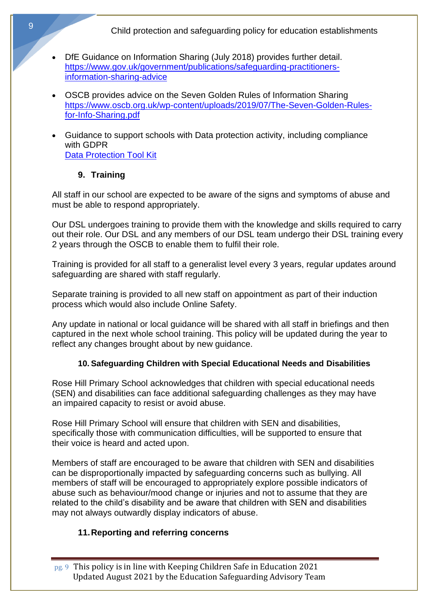- DfE Guidance on Information Sharing (July 2018) provides further detail. [https://www.gov.uk/government/publications/safeguarding-practitioners](https://www.gov.uk/government/publications/safeguarding-practitioners-information-sharing-advice)[information-sharing-advice](https://www.gov.uk/government/publications/safeguarding-practitioners-information-sharing-advice)
- OSCB provides advice on the Seven Golden Rules of Information Sharing [https://www.oscb.org.uk/wp-content/uploads/2019/07/The-Seven-Golden-Rules](https://www.oscb.org.uk/wp-content/uploads/2019/07/The-Seven-Golden-Rules-for-Info-Sharing.pdf)[for-Info-Sharing.pdf](https://www.oscb.org.uk/wp-content/uploads/2019/07/The-Seven-Golden-Rules-for-Info-Sharing.pdf)
- Guidance to support schools with Data protection activity, including compliance with GDPR [Data Protection Tool Kit](https://www.gov.uk/government/publications/data-protection-toolkit-for-schools)

## **9. Training**

All staff in our school are expected to be aware of the signs and symptoms of abuse and must be able to respond appropriately.

Our DSL undergoes training to provide them with the knowledge and skills required to carry out their role. Our DSL and any members of our DSL team undergo their DSL training every 2 years through the OSCB to enable them to fulfil their role.

Training is provided for all staff to a generalist level every 3 years, regular updates around safeguarding are shared with staff regularly.

Separate training is provided to all new staff on appointment as part of their induction process which would also include Online Safety.

Any update in national or local guidance will be shared with all staff in briefings and then captured in the next whole school training. This policy will be updated during the year to reflect any changes brought about by new guidance.

## **10. Safeguarding Children with Special Educational Needs and Disabilities**

Rose Hill Primary School acknowledges that children with special educational needs (SEN) and disabilities can face additional safeguarding challenges as they may have an impaired capacity to resist or avoid abuse.

Rose Hill Primary School will ensure that children with SEN and disabilities, specifically those with communication difficulties, will be supported to ensure that their voice is heard and acted upon.

Members of staff are encouraged to be aware that children with SEN and disabilities can be disproportionally impacted by safeguarding concerns such as bullying. All members of staff will be encouraged to appropriately explore possible indicators of abuse such as behaviour/mood change or injuries and not to assume that they are related to the child's disability and be aware that children with SEN and disabilities may not always outwardly display indicators of abuse.

#### **11.Reporting and referring concerns**

pg. 9 This policy is in line with Keeping Children Safe in Education 2021 Updated August 2021 by the Education Safeguarding Advisory Team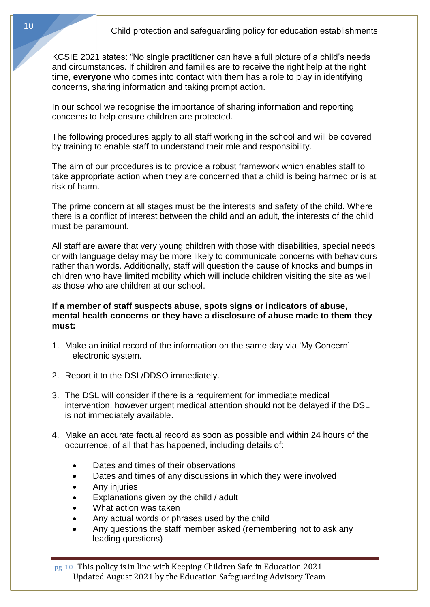KCSIE 2021 states: "No single practitioner can have a full picture of a child's needs and circumstances. If children and families are to receive the right help at the right time, **everyone** who comes into contact with them has a role to play in identifying concerns, sharing information and taking prompt action.

In our school we recognise the importance of sharing information and reporting concerns to help ensure children are protected.

The following procedures apply to all staff working in the school and will be covered by training to enable staff to understand their role and responsibility.

The aim of our procedures is to provide a robust framework which enables staff to take appropriate action when they are concerned that a child is being harmed or is at risk of harm.

The prime concern at all stages must be the interests and safety of the child. Where there is a conflict of interest between the child and an adult, the interests of the child must be paramount.

All staff are aware that very young children with those with disabilities, special needs or with language delay may be more likely to communicate concerns with behaviours rather than words. Additionally, staff will question the cause of knocks and bumps in children who have limited mobility which will include children visiting the site as well as those who are children at our school.

#### **If a member of staff suspects abuse, spots signs or indicators of abuse, mental health concerns or they have a disclosure of abuse made to them they must:**

- 1. Make an initial record of the information on the same day via 'My Concern' electronic system.
- 2. Report it to the DSL/DDSO immediately.
- 3. The DSL will consider if there is a requirement for immediate medical intervention, however urgent medical attention should not be delayed if the DSL is not immediately available.
- 4. Make an accurate factual record as soon as possible and within 24 hours of the occurrence, of all that has happened, including details of:
	- Dates and times of their observations
	- Dates and times of any discussions in which they were involved
	- Any injuries
	- Explanations given by the child / adult
	- What action was taken
	- Any actual words or phrases used by the child
	- Any questions the staff member asked (remembering not to ask any leading questions)

pg. 10 This policy is in line with Keeping Children Safe in Education 2021 Updated August 2021 by the Education Safeguarding Advisory Team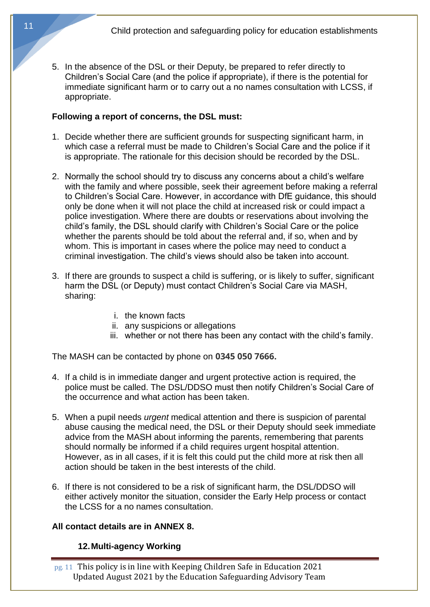5. In the absence of the DSL or their Deputy, be prepared to refer directly to Children's Social Care (and the police if appropriate), if there is the potential for immediate significant harm or to carry out a no names consultation with LCSS, if appropriate.

#### **Following a report of concerns, the DSL must:**

- 1. Decide whether there are sufficient grounds for suspecting significant harm, in which case a referral must be made to Children's Social Care and the police if it is appropriate. The rationale for this decision should be recorded by the DSL.
- 2. Normally the school should try to discuss any concerns about a child's welfare with the family and where possible, seek their agreement before making a referral to Children's Social Care. However, in accordance with DfE guidance, this should only be done when it will not place the child at increased risk or could impact a police investigation. Where there are doubts or reservations about involving the child's family, the DSL should clarify with Children's Social Care or the police whether the parents should be told about the referral and, if so, when and by whom. This is important in cases where the police may need to conduct a criminal investigation. The child's views should also be taken into account.
- 3. If there are grounds to suspect a child is suffering, or is likely to suffer, significant harm the DSL (or Deputy) must contact Children's Social Care via MASH, sharing:
	- i. the known facts
	- ii. any suspicions or allegations
	- iii. whether or not there has been any contact with the child's family.

The MASH can be contacted by phone on **0345 050 7666.**

- 4. If a child is in immediate danger and urgent protective action is required, the police must be called. The DSL/DDSO must then notify Children's Social Care of the occurrence and what action has been taken.
- 5. When a pupil needs *urgent* medical attention and there is suspicion of parental abuse causing the medical need, the DSL or their Deputy should seek immediate advice from the MASH about informing the parents, remembering that parents should normally be informed if a child requires urgent hospital attention. However, as in all cases, if it is felt this could put the child more at risk then all action should be taken in the best interests of the child.
- 6. If there is not considered to be a risk of significant harm, the DSL/DDSO will either actively monitor the situation, consider the Early Help process or contact the LCSS for a no names consultation.

## **All contact details are in ANNEX 8.**

## **12.Multi-agency Working**

pg. 11 This policy is in line with Keeping Children Safe in Education 2021 Updated August 2021 by the Education Safeguarding Advisory Team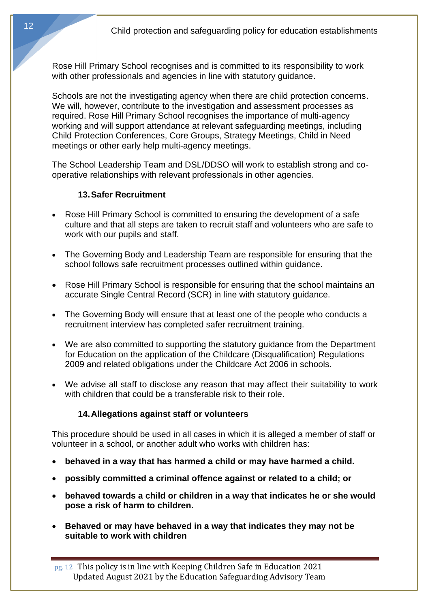Rose Hill Primary School recognises and is committed to its responsibility to work with other professionals and agencies in line with statutory quidance.

Schools are not the investigating agency when there are child protection concerns. We will, however, contribute to the investigation and assessment processes as required. Rose Hill Primary School recognises the importance of multi-agency working and will support attendance at relevant safeguarding meetings, including Child Protection Conferences, Core Groups, Strategy Meetings, Child in Need meetings or other early help multi-agency meetings.

The School Leadership Team and DSL/DDSO will work to establish strong and cooperative relationships with relevant professionals in other agencies.

#### **13.Safer Recruitment**

- Rose Hill Primary School is committed to ensuring the development of a safe culture and that all steps are taken to recruit staff and volunteers who are safe to work with our pupils and staff.
- The Governing Body and Leadership Team are responsible for ensuring that the school follows safe recruitment processes outlined within guidance.
- Rose Hill Primary School is responsible for ensuring that the school maintains an accurate Single Central Record (SCR) in line with statutory guidance.
- The Governing Body will ensure that at least one of the people who conducts a recruitment interview has completed safer recruitment training.
- We are also committed to supporting the statutory guidance from the Department for Education on the application of the Childcare (Disqualification) Regulations 2009 and related obligations under the Childcare Act 2006 in schools.
- We advise all staff to disclose any reason that may affect their suitability to work with children that could be a transferable risk to their role.

#### **14.Allegations against staff or volunteers**

This procedure should be used in all cases in which it is alleged a member of staff or volunteer in a school, or another adult who works with children has:

- **behaved in a way that has harmed a child or may have harmed a child.**
- **possibly committed a criminal offence against or related to a child; or**
- **behaved towards a child or children in a way that indicates he or she would pose a risk of harm to children.**
- **Behaved or may have behaved in a way that indicates they may not be suitable to work with children**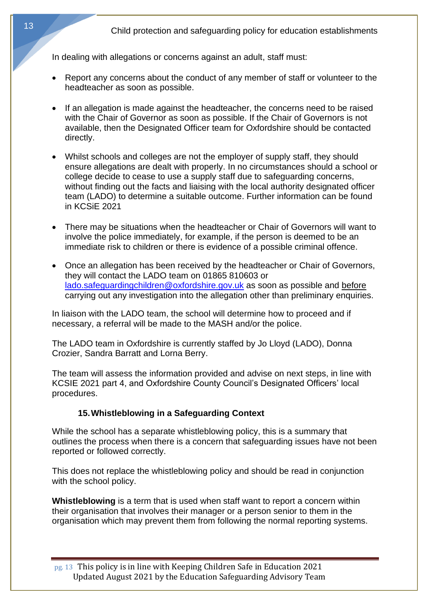In dealing with allegations or concerns against an adult, staff must:

- Report any concerns about the conduct of any member of staff or volunteer to the headteacher as soon as possible.
- If an allegation is made against the headteacher, the concerns need to be raised with the Chair of Governor as soon as possible. If the Chair of Governors is not available, then the Designated Officer team for Oxfordshire should be contacted directly.
- Whilst schools and colleges are not the employer of supply staff, they should ensure allegations are dealt with properly. In no circumstances should a school or college decide to cease to use a supply staff due to safeguarding concerns, without finding out the facts and liaising with the local authority designated officer team (LADO) to determine a suitable outcome. Further information can be found in KCSiE 2021
- There may be situations when the headteacher or Chair of Governors will want to involve the police immediately, for example, if the person is deemed to be an immediate risk to children or there is evidence of a possible criminal offence.
- Once an allegation has been received by the headteacher or Chair of Governors, they will contact the LADO team on 01865 810603 or [lado.safeguardingchildren@oxfordshire.gov.uk](mailto:lado.safeguardingchildren@oxfordshire.gov.uk) as soon as possible and before carrying out any investigation into the allegation other than preliminary enquiries.

In liaison with the LADO team, the school will determine how to proceed and if necessary, a referral will be made to the MASH and/or the police.

The LADO team in Oxfordshire is currently staffed by Jo Lloyd (LADO), Donna Crozier, Sandra Barratt and Lorna Berry.

The team will assess the information provided and advise on next steps, in line with KCSIE 2021 part 4, and Oxfordshire County Council's Designated Officers' local procedures.

#### **15.Whistleblowing in a Safeguarding Context**

While the school has a separate whistleblowing policy, this is a summary that outlines the process when there is a concern that safeguarding issues have not been reported or followed correctly.

This does not replace the whistleblowing policy and should be read in conjunction with the school policy.

**Whistleblowing** is a term that is used when staff want to report a concern within their organisation that involves their manager or a person senior to them in the organisation which may prevent them from following the normal reporting systems.

pg. 13 This policy is in line with Keeping Children Safe in Education 2021 Updated August 2021 by the Education Safeguarding Advisory Team

13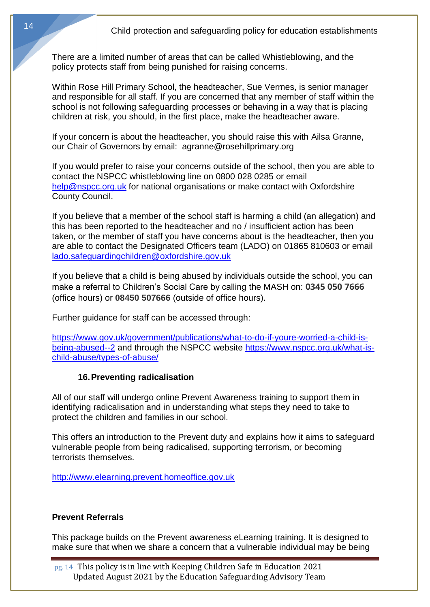There are a limited number of areas that can be called Whistleblowing, and the policy protects staff from being punished for raising concerns.

Within Rose Hill Primary School, the headteacher, Sue Vermes, is senior manager and responsible for all staff. If you are concerned that any member of staff within the school is not following safeguarding processes or behaving in a way that is placing children at risk, you should, in the first place, make the headteacher aware.

If your concern is about the headteacher, you should raise this with Ailsa Granne, our Chair of Governors by email: agranne@rosehillprimary.org

If you would prefer to raise your concerns outside of the school, then you are able to contact the NSPCC whistleblowing line on 0800 028 0285 or email [help@nspcc.org.uk](mailto:help@nspcc.org.uk) for national organisations or make contact with Oxfordshire County Council.

If you believe that a member of the school staff is harming a child (an allegation) and this has been reported to the headteacher and no / insufficient action has been taken, or the member of staff you have concerns about is the headteacher, then you are able to contact the Designated Officers team (LADO) on 01865 810603 or email [lado.safeguardingchildren@oxfordshire.gov.uk](mailto:lado.safeguardingchildren@oxfordshire.gov.uk)

If you believe that a child is being abused by individuals outside the school, you can make a referral to Children's Social Care by calling the MASH on: **0345 050 7666** (office hours) or **08450 507666** (outside of office hours).

Further guidance for staff can be accessed through:

[https://www.gov.uk/government/publications/what-to-do-if-youre-worried-a-child-is](https://www.gov.uk/government/publications/what-to-do-if-youre-worried-a-child-is-being-abused--2)[being-abused--2](https://www.gov.uk/government/publications/what-to-do-if-youre-worried-a-child-is-being-abused--2) and through the NSPCC website [https://www.nspcc.org.uk/what-is](https://www.nspcc.org.uk/what-is-child-abuse/types-of-abuse/)[child-abuse/types-of-abuse/](https://www.nspcc.org.uk/what-is-child-abuse/types-of-abuse/)

#### **16.Preventing radicalisation**

All of our staff will undergo online Prevent Awareness training to support them in identifying radicalisation and in understanding what steps they need to take to protect the children and families in our school.

This offers an introduction to the Prevent duty and explains how it aims to safeguard vulnerable people from being radicalised, supporting terrorism, or becoming terrorists themselves.

[http://www.elearning.prevent.homeoffice.gov.uk](http://www.elearning.prevent.homeoffice.gov.uk/)

#### **Prevent Referrals**

This package builds on the Prevent awareness eLearning training. It is designed to make sure that when we share a concern that a vulnerable individual may be being

pg. 14 This policy is in line with Keeping Children Safe in Education 2021 Updated August 2021 by the Education Safeguarding Advisory Team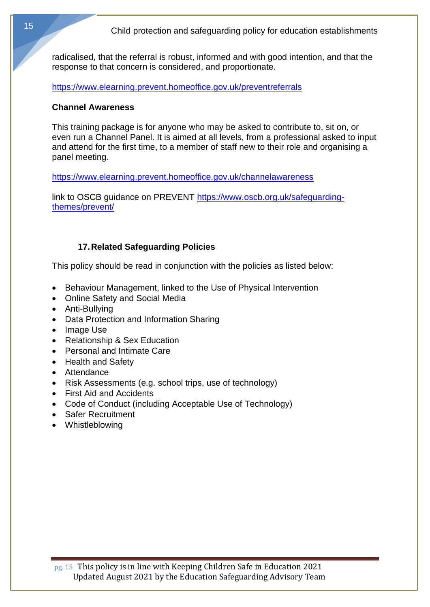radicalised, that the referral is robust, informed and with good intention, and that the response to that concern is considered, and proportionate.

<https://www.elearning.prevent.homeoffice.gov.uk/preventreferrals>

#### **Channel Awareness**

This training package is for anyone who may be asked to contribute to, sit on, or even run a Channel Panel. It is aimed at all levels, from a professional asked to input and attend for the first time, to a member of staff new to their role and organising a panel meeting.

<https://www.elearning.prevent.homeoffice.gov.uk/channelawareness>

link to OSCB guidance on PREVENT [https://www.oscb.org.uk/safeguarding](https://www.oscb.org.uk/safeguarding-themes/prevent/)[themes/prevent/](https://www.oscb.org.uk/safeguarding-themes/prevent/)

#### **17.Related Safeguarding Policies**

This policy should be read in conjunction with the policies as listed below:

- Behaviour Management, linked to the Use of Physical Intervention
- Online Safety and Social Media
- Anti-Bullying
- Data Protection and Information Sharing
- Image Use
- Relationship & Sex Education
- Personal and Intimate Care
- Health and Safety
- Attendance
- Risk Assessments (e.g. school trips, use of technology)
- First Aid and Accidents
- Code of Conduct (including Acceptable Use of Technology)
- Safer Recruitment
- Whistleblowing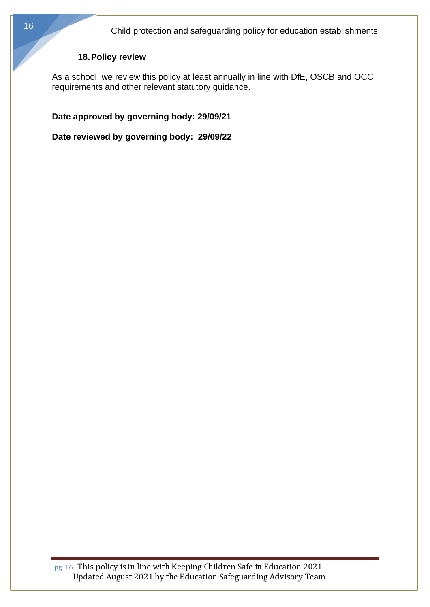#### **18.Policy review**

As a school, we review this policy at least annually in line with DfE, OSCB and OCC requirements and other relevant statutory guidance.

**Date approved by governing body: 29/09/21**

**Date reviewed by governing body: 29/09/22**

pg. 16 This policy is in line with Keeping Children Safe in Education 2021 Updated August 2021 by the Education Safeguarding Advisory Team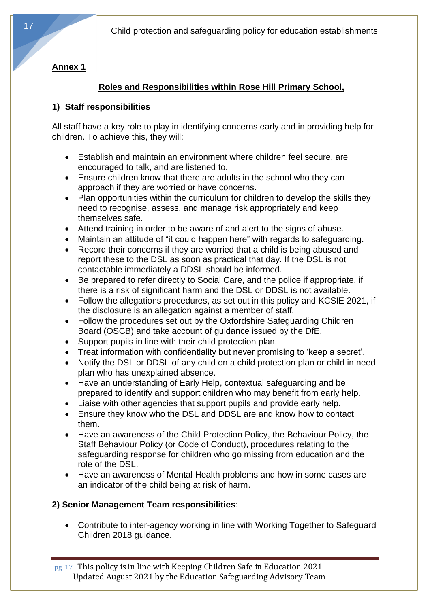## **Annex 1**

## **Roles and Responsibilities within Rose Hill Primary School,**

## **1) Staff responsibilities**

All staff have a key role to play in identifying concerns early and in providing help for children. To achieve this, they will:

- Establish and maintain an environment where children feel secure, are encouraged to talk, and are listened to.
- Ensure children know that there are adults in the school who they can approach if they are worried or have concerns.
- Plan opportunities within the curriculum for children to develop the skills they need to recognise, assess, and manage risk appropriately and keep themselves safe.
- Attend training in order to be aware of and alert to the signs of abuse.
- Maintain an attitude of "it could happen here" with regards to safeguarding.
- Record their concerns if they are worried that a child is being abused and report these to the DSL as soon as practical that day. If the DSL is not contactable immediately a DDSL should be informed.
- Be prepared to refer directly to Social Care, and the police if appropriate, if there is a risk of significant harm and the DSL or DDSL is not available.
- Follow the allegations procedures, as set out in this policy and KCSIE 2021, if the disclosure is an allegation against a member of staff.
- Follow the procedures set out by the Oxfordshire Safeguarding Children Board (OSCB) and take account of guidance issued by the DfE.
- Support pupils in line with their child protection plan.
- Treat information with confidentiality but never promising to 'keep a secret'.
- Notify the DSL or DDSL of any child on a child protection plan or child in need plan who has unexplained absence.
- Have an understanding of Early Help, contextual safeguarding and be prepared to identify and support children who may benefit from early help.
- Liaise with other agencies that support pupils and provide early help.
- Ensure they know who the DSL and DDSL are and know how to contact them.
- Have an awareness of the Child Protection Policy, the Behaviour Policy, the Staff Behaviour Policy (or Code of Conduct), procedures relating to the safeguarding response for children who go missing from education and the role of the DSL.
- Have an awareness of Mental Health problems and how in some cases are an indicator of the child being at risk of harm.

## **2) Senior Management Team responsibilities**:

• Contribute to inter-agency working in line with Working Together to Safeguard Children 2018 guidance.

pg. 17 This policy is in line with Keeping Children Safe in Education 2021 Updated August 2021 by the Education Safeguarding Advisory Team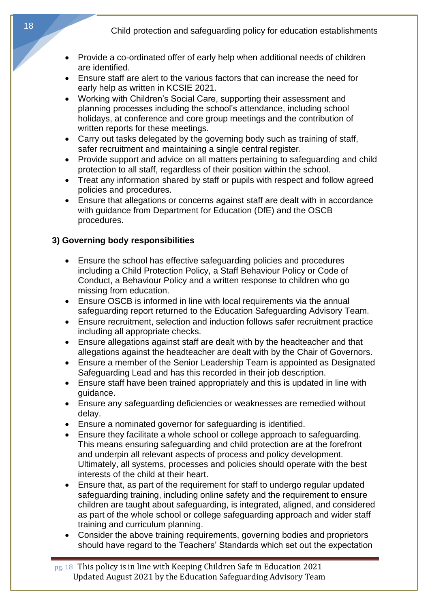- Provide a co-ordinated offer of early help when additional needs of children are identified.
- Ensure staff are alert to the various factors that can increase the need for early help as written in KCSIE 2021.
- Working with Children's Social Care, supporting their assessment and planning processes including the school's attendance, including school holidays, at conference and core group meetings and the contribution of written reports for these meetings.
- Carry out tasks delegated by the governing body such as training of staff, safer recruitment and maintaining a single central register.
- Provide support and advice on all matters pertaining to safeguarding and child protection to all staff, regardless of their position within the school.
- Treat any information shared by staff or pupils with respect and follow agreed policies and procedures.
- Ensure that allegations or concerns against staff are dealt with in accordance with guidance from Department for Education (DfE) and the OSCB procedures.

#### **3) Governing body responsibilities**

- Ensure the school has effective safeguarding policies and procedures including a Child Protection Policy, a Staff Behaviour Policy or Code of Conduct, a Behaviour Policy and a written response to children who go missing from education.
- Ensure OSCB is informed in line with local requirements via the annual safeguarding report returned to the Education Safeguarding Advisory Team.
- Ensure recruitment, selection and induction follows safer recruitment practice including all appropriate checks.
- Ensure allegations against staff are dealt with by the headteacher and that allegations against the headteacher are dealt with by the Chair of Governors.
- Ensure a member of the Senior Leadership Team is appointed as Designated Safeguarding Lead and has this recorded in their job description.
- Ensure staff have been trained appropriately and this is updated in line with guidance.
- Ensure any safeguarding deficiencies or weaknesses are remedied without delay.
- Ensure a nominated governor for safeguarding is identified.
- Ensure they facilitate a whole school or college approach to safeguarding. This means ensuring safeguarding and child protection are at the forefront and underpin all relevant aspects of process and policy development. Ultimately, all systems, processes and policies should operate with the best interests of the child at their heart.
- Ensure that, as part of the requirement for staff to undergo regular updated safeguarding training, including online safety and the requirement to ensure children are taught about safeguarding, is integrated, aligned, and considered as part of the whole school or college safeguarding approach and wider staff training and curriculum planning.
- Consider the above training requirements, governing bodies and proprietors should have regard to the Teachers' Standards which set out the expectation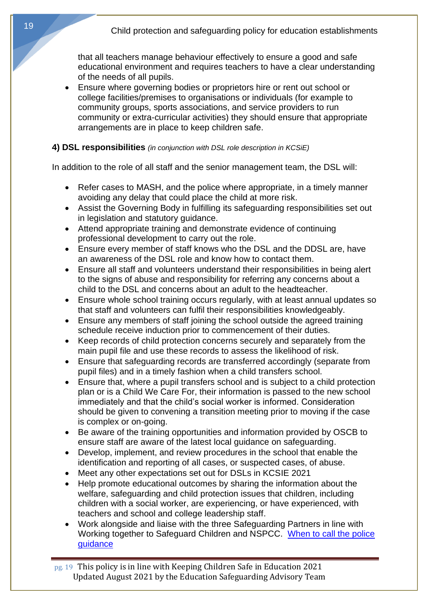that all teachers manage behaviour effectively to ensure a good and safe educational environment and requires teachers to have a clear understanding of the needs of all pupils.

• Ensure where governing bodies or proprietors hire or rent out school or college facilities/premises to organisations or individuals (for example to community groups, sports associations, and service providers to run community or extra-curricular activities) they should ensure that appropriate arrangements are in place to keep children safe.

#### **4) DSL responsibilities** *(in conjunction with DSL role description in KCSiE)*

In addition to the role of all staff and the senior management team, the DSL will:

- Refer cases to MASH, and the police where appropriate, in a timely manner avoiding any delay that could place the child at more risk.
- Assist the Governing Body in fulfilling its safeguarding responsibilities set out in legislation and statutory guidance.
- Attend appropriate training and demonstrate evidence of continuing professional development to carry out the role.
- Ensure every member of staff knows who the DSL and the DDSL are, have an awareness of the DSL role and know how to contact them.
- Ensure all staff and volunteers understand their responsibilities in being alert to the signs of abuse and responsibility for referring any concerns about a child to the DSL and concerns about an adult to the headteacher.
- Ensure whole school training occurs regularly, with at least annual updates so that staff and volunteers can fulfil their responsibilities knowledgeably.
- Ensure any members of staff joining the school outside the agreed training schedule receive induction prior to commencement of their duties.
- Keep records of child protection concerns securely and separately from the main pupil file and use these records to assess the likelihood of risk.
- Ensure that safeguarding records are transferred accordingly (separate from pupil files) and in a timely fashion when a child transfers school.
- Ensure that, where a pupil transfers school and is subject to a child protection plan or is a Child We Care For, their information is passed to the new school immediately and that the child's social worker is informed. Consideration should be given to convening a transition meeting prior to moving if the case is complex or on-going.
- Be aware of the training opportunities and information provided by OSCB to ensure staff are aware of the latest local guidance on safeguarding.
- Develop, implement, and review procedures in the school that enable the identification and reporting of all cases, or suspected cases, of abuse.
- Meet any other expectations set out for DSLs in KCSIE 2021
- Help promote educational outcomes by sharing the information about the welfare, safeguarding and child protection issues that children, including children with a social worker, are experiencing, or have experienced, with teachers and school and college leadership staff.
- Work alongside and liaise with the three Safeguarding Partners in line with Working together to Safeguard Children and NSPCC. [When to call the police](https://www.npcc.police.uk/documents/Children%20and%20Young%20people/When%20to%20call%20the%20police%20guidance%20for%20schools%20and%20colleges.pdf)  [guidance](https://www.npcc.police.uk/documents/Children%20and%20Young%20people/When%20to%20call%20the%20police%20guidance%20for%20schools%20and%20colleges.pdf)

pg. 19 This policy is in line with Keeping Children Safe in Education 2021 Updated August 2021 by the Education Safeguarding Advisory Team

19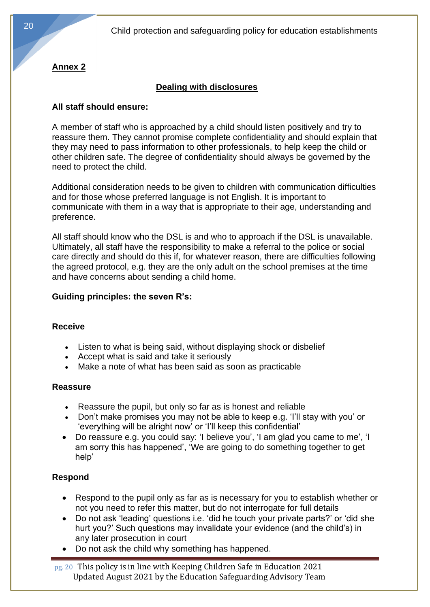## **Annex 2**

## **Dealing with disclosures**

#### **All staff should ensure:**

A member of staff who is approached by a child should listen positively and try to reassure them. They cannot promise complete confidentiality and should explain that they may need to pass information to other professionals, to help keep the child or other children safe. The degree of confidentiality should always be governed by the need to protect the child.

Additional consideration needs to be given to children with communication difficulties and for those whose preferred language is not English. It is important to communicate with them in a way that is appropriate to their age, understanding and preference.

All staff should know who the DSL is and who to approach if the DSL is unavailable. Ultimately, all staff have the responsibility to make a referral to the police or social care directly and should do this if, for whatever reason, there are difficulties following the agreed protocol, e.g. they are the only adult on the school premises at the time and have concerns about sending a child home.

#### **Guiding principles: the seven R's:**

#### **Receive**

- Listen to what is being said, without displaying shock or disbelief
- Accept what is said and take it seriously
- Make a note of what has been said as soon as practicable

#### **Reassure**

- Reassure the pupil, but only so far as is honest and reliable
- Don't make promises you may not be able to keep e.g. 'I'll stay with you' or 'everything will be alright now' or 'I'll keep this confidential'
- Do reassure e.g. you could say: 'I believe you', 'I am glad you came to me', 'I am sorry this has happened', 'We are going to do something together to get help'

## **Respond**

- Respond to the pupil only as far as is necessary for you to establish whether or not you need to refer this matter, but do not interrogate for full details
- Do not ask 'leading' questions i.e. 'did he touch your private parts?' or 'did she hurt you?' Such questions may invalidate your evidence (and the child's) in any later prosecution in court
- Do not ask the child why something has happened.

pg. 20 This policy is in line with Keeping Children Safe in Education 2021 Updated August 2021 by the Education Safeguarding Advisory Team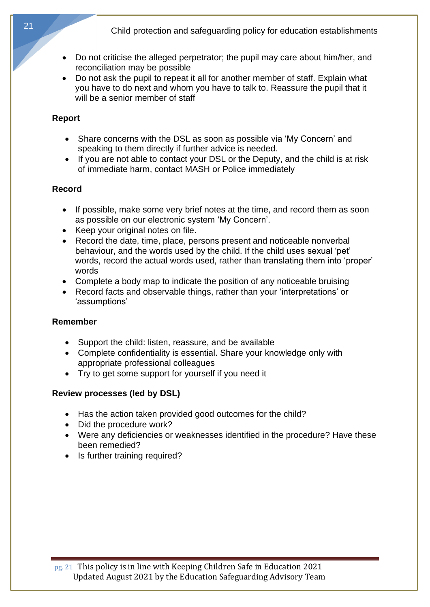- Do not criticise the alleged perpetrator; the pupil may care about him/her, and reconciliation may be possible
- Do not ask the pupil to repeat it all for another member of staff. Explain what you have to do next and whom you have to talk to. Reassure the pupil that it will be a senior member of staff

#### **Report**

- Share concerns with the DSL as soon as possible via 'My Concern' and speaking to them directly if further advice is needed.
- If you are not able to contact your DSL or the Deputy, and the child is at risk of immediate harm, contact MASH or Police immediately

## **Record**

- If possible, make some very brief notes at the time, and record them as soon as possible on our electronic system 'My Concern'.
- Keep your original notes on file.
- Record the date, time, place, persons present and noticeable nonverbal behaviour, and the words used by the child. If the child uses sexual 'pet' words, record the actual words used, rather than translating them into 'proper' words
- Complete a body map to indicate the position of any noticeable bruising
- Record facts and observable things, rather than your 'interpretations' or 'assumptions'

#### **Remember**

- Support the child: listen, reassure, and be available
- Complete confidentiality is essential. Share your knowledge only with appropriate professional colleagues
- Try to get some support for yourself if you need it

## **Review processes (led by DSL)**

- Has the action taken provided good outcomes for the child?
- Did the procedure work?
- Were any deficiencies or weaknesses identified in the procedure? Have these been remedied?
- Is further training required?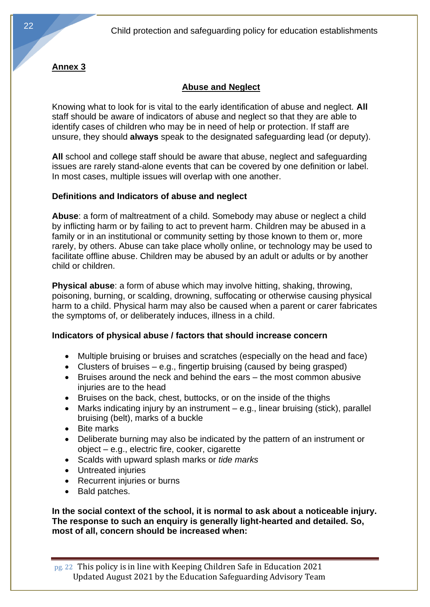## **Annex 3**

## **Abuse and Neglect**

Knowing what to look for is vital to the early identification of abuse and neglect. **All** staff should be aware of indicators of abuse and neglect so that they are able to identify cases of children who may be in need of help or protection. If staff are unsure, they should **always** speak to the designated safeguarding lead (or deputy).

**All** school and college staff should be aware that abuse, neglect and safeguarding issues are rarely stand-alone events that can be covered by one definition or label. In most cases, multiple issues will overlap with one another.

#### **Definitions and Indicators of abuse and neglect**

**Abuse**: a form of maltreatment of a child. Somebody may abuse or neglect a child by inflicting harm or by failing to act to prevent harm. Children may be abused in a family or in an institutional or community setting by those known to them or, more rarely, by others. Abuse can take place wholly online, or technology may be used to facilitate offline abuse. Children may be abused by an adult or adults or by another child or children.

**Physical abuse**: a form of abuse which may involve hitting, shaking, throwing, poisoning, burning, or scalding, drowning, suffocating or otherwise causing physical harm to a child. Physical harm may also be caused when a parent or carer fabricates the symptoms of, or deliberately induces, illness in a child.

#### **Indicators of physical abuse / factors that should increase concern**

- Multiple bruising or bruises and scratches (especially on the head and face)
- Clusters of bruises e.g., fingertip bruising (caused by being grasped)
- Bruises around the neck and behind the ears the most common abusive injuries are to the head
- Bruises on the back, chest, buttocks, or on the inside of the thighs
- Marks indicating injury by an instrument e.g., linear bruising (stick), parallel bruising (belt), marks of a buckle
- Bite marks
- Deliberate burning may also be indicated by the pattern of an instrument or object – e.g., electric fire, cooker, cigarette
- Scalds with upward splash marks or *tide marks*
- Untreated injuries
- Recurrent injuries or burns
- Bald patches.

**In the social context of the school, it is normal to ask about a noticeable injury. The response to such an enquiry is generally light-hearted and detailed. So, most of all, concern should be increased when:**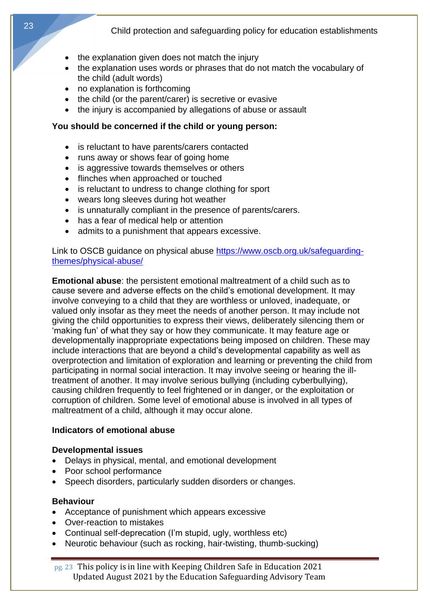- the explanation given does not match the injury
- the explanation uses words or phrases that do not match the vocabulary of the child (adult words)
- no explanation is forthcoming
- the child (or the parent/carer) is secretive or evasive
- the injury is accompanied by allegations of abuse or assault

#### **You should be concerned if the child or young person:**

- is reluctant to have parents/carers contacted
- runs away or shows fear of going home
- is aggressive towards themselves or others
- flinches when approached or touched
- is reluctant to undress to change clothing for sport
- wears long sleeves during hot weather
- is unnaturally compliant in the presence of parents/carers.
- has a fear of medical help or attention
- admits to a punishment that appears excessive.

Link to OSCB guidance on physical abuse [https://www.oscb.org.uk/safeguarding](https://www.oscb.org.uk/safeguarding-themes/physical-abuse/)[themes/physical-abuse/](https://www.oscb.org.uk/safeguarding-themes/physical-abuse/)

**Emotional abuse**: the persistent emotional maltreatment of a child such as to cause severe and adverse effects on the child's emotional development. It may involve conveying to a child that they are worthless or unloved, inadequate, or valued only insofar as they meet the needs of another person. It may include not giving the child opportunities to express their views, deliberately silencing them or 'making fun' of what they say or how they communicate. It may feature age or developmentally inappropriate expectations being imposed on children. These may include interactions that are beyond a child's developmental capability as well as overprotection and limitation of exploration and learning or preventing the child from participating in normal social interaction. It may involve seeing or hearing the illtreatment of another. It may involve serious bullying (including cyberbullying), causing children frequently to feel frightened or in danger, or the exploitation or corruption of children. Some level of emotional abuse is involved in all types of maltreatment of a child, although it may occur alone.

#### **Indicators of emotional abuse**

#### **Developmental issues**

- Delays in physical, mental, and emotional development
- Poor school performance
- Speech disorders, particularly sudden disorders or changes.

#### **Behaviour**

- Acceptance of punishment which appears excessive
- Over-reaction to mistakes
- Continual self-deprecation (I'm stupid, ugly, worthless etc)
- Neurotic behaviour (such as rocking, hair-twisting, thumb-sucking)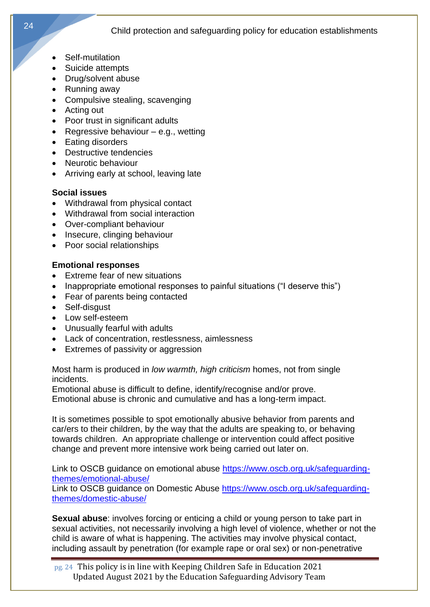- Self-mutilation
- Suicide attempts
- Drug/solvent abuse
- Running away
- Compulsive stealing, scavenging
- Acting out
- Poor trust in significant adults
- Regressive behaviour e.g., wetting
- Eating disorders
- Destructive tendencies
- Neurotic behaviour
- Arriving early at school, leaving late

#### **Social issues**

- Withdrawal from physical contact
- Withdrawal from social interaction
- Over-compliant behaviour
- Insecure, clinging behaviour
- Poor social relationships

#### **Emotional responses**

- Extreme fear of new situations
- Inappropriate emotional responses to painful situations ("I deserve this")
- Fear of parents being contacted
- Self-disgust
- Low self-esteem
- Unusually fearful with adults
- Lack of concentration, restlessness, aimlessness
- Extremes of passivity or aggression

Most harm is produced in *low warmth, high criticism* homes, not from single incidents.

Emotional abuse is difficult to define, identify/recognise and/or prove. Emotional abuse is chronic and cumulative and has a long-term impact.

It is sometimes possible to spot emotionally abusive behavior from parents and car/ers to their children, by the way that the adults are speaking to, or behaving towards children. An appropriate challenge or intervention could affect positive change and prevent more intensive work being carried out later on.

Link to OSCB guidance on emotional abuse [https://www.oscb.org.uk/safeguarding](https://www.oscb.org.uk/safeguarding-themes/emotional-abuse/)[themes/emotional-abuse/](https://www.oscb.org.uk/safeguarding-themes/emotional-abuse/)

Link to OSCB guidance on Domestic Abuse [https://www.oscb.org.uk/safeguarding](https://www.oscb.org.uk/safeguarding-themes/domestic-abuse/)[themes/domestic-abuse/](https://www.oscb.org.uk/safeguarding-themes/domestic-abuse/)

**Sexual abuse**: involves forcing or enticing a child or young person to take part in sexual activities, not necessarily involving a high level of violence, whether or not the child is aware of what is happening. The activities may involve physical contact, including assault by penetration (for example rape or oral sex) or non-penetrative

pg. 24 This policy is in line with Keeping Children Safe in Education 2021 Updated August 2021 by the Education Safeguarding Advisory Team

24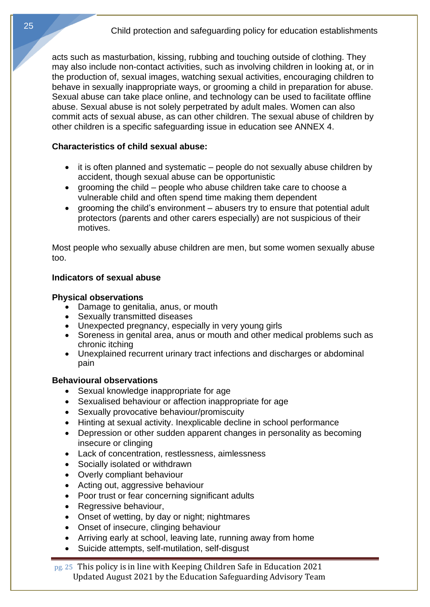acts such as masturbation, kissing, rubbing and touching outside of clothing. They may also include non-contact activities, such as involving children in looking at, or in the production of, sexual images, watching sexual activities, encouraging children to behave in sexually inappropriate ways, or grooming a child in preparation for abuse. Sexual abuse can take place online, and technology can be used to facilitate offline abuse. Sexual abuse is not solely perpetrated by adult males. Women can also commit acts of sexual abuse, as can other children. The sexual abuse of children by other children is a specific safeguarding issue in education see ANNEX 4.

#### **Characteristics of child sexual abuse:**

- it is often planned and systematic people do not sexually abuse children by accident, though sexual abuse can be opportunistic
- grooming the child people who abuse children take care to choose a vulnerable child and often spend time making them dependent
- grooming the child's environment abusers try to ensure that potential adult protectors (parents and other carers especially) are not suspicious of their motives.

Most people who sexually abuse children are men, but some women sexually abuse too.

## **Indicators of sexual abuse**

#### **Physical observations**

- Damage to genitalia, anus, or mouth
- Sexually transmitted diseases
- Unexpected pregnancy, especially in very young girls
- Soreness in genital area, anus or mouth and other medical problems such as chronic itching
- Unexplained recurrent urinary tract infections and discharges or abdominal pain

## **Behavioural observations**

- Sexual knowledge inappropriate for age
- Sexualised behaviour or affection inappropriate for age
- Sexually provocative behaviour/promiscuity
- Hinting at sexual activity. Inexplicable decline in school performance
- Depression or other sudden apparent changes in personality as becoming insecure or clinging
- Lack of concentration, restlessness, aimlessness
- Socially isolated or withdrawn
- Overly compliant behaviour
- Acting out, aggressive behaviour
- Poor trust or fear concerning significant adults
- Regressive behaviour,
- Onset of wetting, by day or night; nightmares
- Onset of insecure, clinging behaviour
- Arriving early at school, leaving late, running away from home
- Suicide attempts, self-mutilation, self-disgust

pg. 25 This policy is in line with Keeping Children Safe in Education 2021 Updated August 2021 by the Education Safeguarding Advisory Team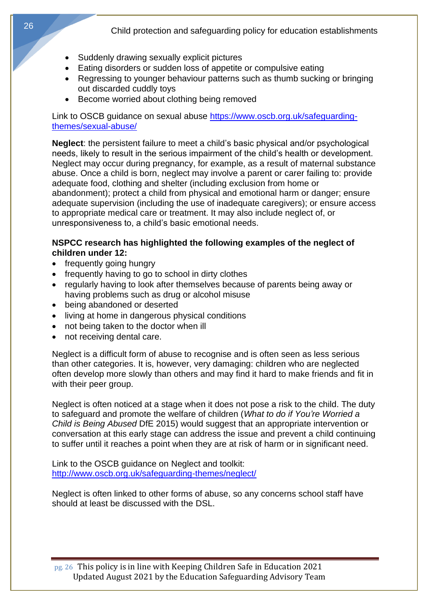- Suddenly drawing sexually explicit pictures
- Eating disorders or sudden loss of appetite or compulsive eating
- Regressing to younger behaviour patterns such as thumb sucking or bringing out discarded cuddly toys
- Become worried about clothing being removed

Link to OSCB guidance on sexual abuse [https://www.oscb.org.uk/safeguarding](https://www.oscb.org.uk/safeguarding-themes/sexual-abuse/)[themes/sexual-abuse/](https://www.oscb.org.uk/safeguarding-themes/sexual-abuse/)

**Neglect**: the persistent failure to meet a child's basic physical and/or psychological needs, likely to result in the serious impairment of the child's health or development. Neglect may occur during pregnancy, for example, as a result of maternal substance abuse. Once a child is born, neglect may involve a parent or carer failing to: provide adequate food, clothing and shelter (including exclusion from home or abandonment); protect a child from physical and emotional harm or danger; ensure adequate supervision (including the use of inadequate caregivers); or ensure access to appropriate medical care or treatment. It may also include neglect of, or unresponsiveness to, a child's basic emotional needs.

#### **NSPCC research has highlighted the following examples of the neglect of children under 12:**

- frequently going hungry
- frequently having to go to school in dirty clothes
- regularly having to look after themselves because of parents being away or having problems such as drug or alcohol misuse
- being abandoned or deserted
- living at home in dangerous physical conditions
- not being taken to the doctor when ill
- not receiving dental care.

Neglect is a difficult form of abuse to recognise and is often seen as less serious than other categories. It is, however, very damaging: children who are neglected often develop more slowly than others and may find it hard to make friends and fit in with their peer group.

Neglect is often noticed at a stage when it does not pose a risk to the child. The duty to safeguard and promote the welfare of children (*What to do if You're Worried a Child is Being Abused* DfE 2015) would suggest that an appropriate intervention or conversation at this early stage can address the issue and prevent a child continuing to suffer until it reaches a point when they are at risk of harm or in significant need.

Link to the OSCB guidance on Neglect and toolkit: <http://www.oscb.org.uk/safeguarding-themes/neglect/>

Neglect is often linked to other forms of abuse, so any concerns school staff have should at least be discussed with the DSL.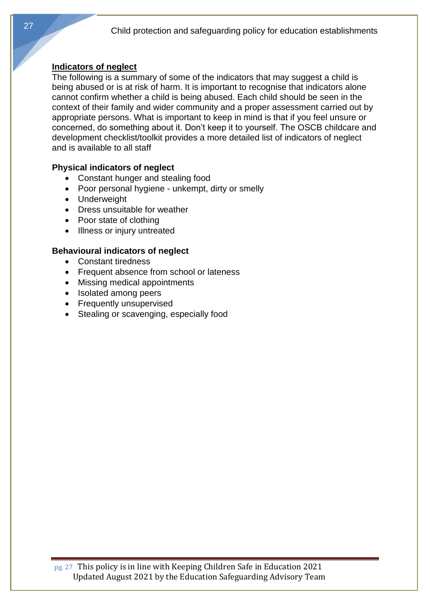#### **Indicators of neglect**

The following is a summary of some of the indicators that may suggest a child is being abused or is at risk of harm. It is important to recognise that indicators alone cannot confirm whether a child is being abused. Each child should be seen in the context of their family and wider community and a proper assessment carried out by appropriate persons. What is important to keep in mind is that if you feel unsure or concerned, do something about it. Don't keep it to yourself. The OSCB childcare and development checklist/toolkit provides a more detailed list of indicators of neglect and is available to all staff

#### **Physical indicators of neglect**

- Constant hunger and stealing food
- Poor personal hygiene unkempt, dirty or smelly
- Underweight
- Dress unsuitable for weather
- Poor state of clothing
- Illness or injury untreated

#### **Behavioural indicators of neglect**

- Constant tiredness
- Frequent absence from school or lateness
- Missing medical appointments
- Isolated among peers
- Frequently unsupervised
- Stealing or scavenging, especially food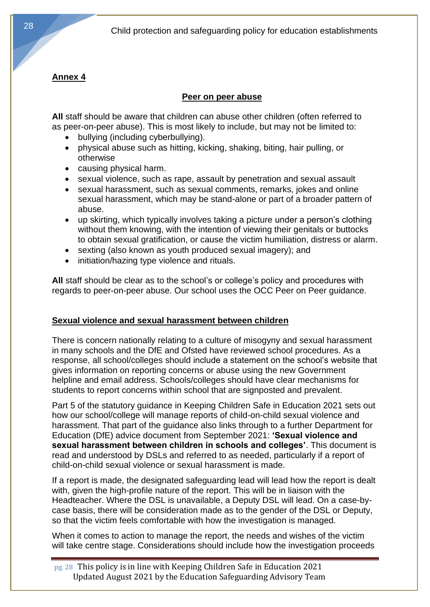## **Annex 4**

#### **Peer on peer abuse**

**All** staff should be aware that children can abuse other children (often referred to as peer-on-peer abuse). This is most likely to include, but may not be limited to:

- bullying (including cyberbullying).
- physical abuse such as hitting, kicking, shaking, biting, hair pulling, or otherwise
- causing physical harm.
- sexual violence, such as rape, assault by penetration and sexual assault
- sexual harassment, such as sexual comments, remarks, jokes and online sexual harassment, which may be stand-alone or part of a broader pattern of abuse.
- up skirting, which typically involves taking a picture under a person's clothing without them knowing, with the intention of viewing their genitals or buttocks to obtain sexual gratification, or cause the victim humiliation, distress or alarm.
- sexting (also known as youth produced sexual imagery); and
- initiation/hazing type violence and rituals.

All staff should be clear as to the school's or college's policy and procedures with regards to peer-on-peer abuse. Our school uses the OCC Peer on Peer guidance.

#### **Sexual violence and sexual harassment between children**

There is concern nationally relating to a culture of misogyny and sexual harassment in many schools and the DfE and Ofsted have reviewed school procedures. As a response, all school/colleges should include a statement on the school's website that gives information on reporting concerns or abuse using the new Government helpline and email address. Schools/colleges should have clear mechanisms for students to report concerns within school that are signposted and prevalent.

Part 5 of the statutory guidance in Keeping Children Safe in Education 2021 sets out how our school/college will manage reports of child-on-child sexual violence and harassment. That part of the guidance also links through to a further Department for Education (DfE) advice document from September 2021: **'Sexual violence and sexual harassment between children in schools and colleges'**. This document is read and understood by DSLs and referred to as needed, particularly if a report of child-on-child sexual violence or sexual harassment is made.

If a report is made, the designated safeguarding lead will lead how the report is dealt with, given the high-profile nature of the report. This will be in liaison with the Headteacher. Where the DSL is unavailable, a Deputy DSL will lead. On a case-bycase basis, there will be consideration made as to the gender of the DSL or Deputy, so that the victim feels comfortable with how the investigation is managed.

When it comes to action to manage the report, the needs and wishes of the victim will take centre stage. Considerations should include how the investigation proceeds

pg. 28 This policy is in line with Keeping Children Safe in Education 2021 Updated August 2021 by the Education Safeguarding Advisory Team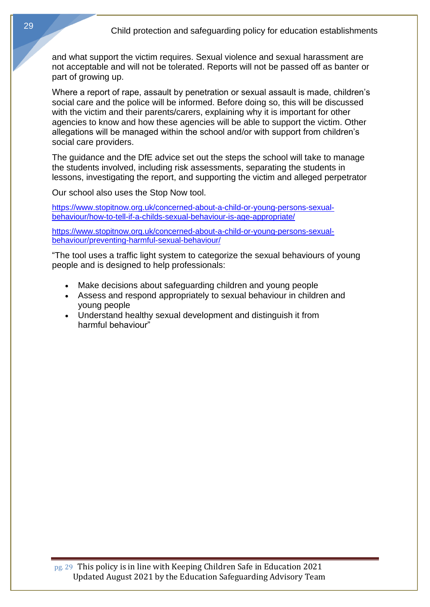and what support the victim requires. Sexual violence and sexual harassment are not acceptable and will not be tolerated. Reports will not be passed off as banter or part of growing up.

Where a report of rape, assault by penetration or sexual assault is made, children's social care and the police will be informed. Before doing so, this will be discussed with the victim and their parents/carers, explaining why it is important for other agencies to know and how these agencies will be able to support the victim. Other allegations will be managed within the school and/or with support from children's social care providers.

The guidance and the DfE advice set out the steps the school will take to manage the students involved, including risk assessments, separating the students in lessons, investigating the report, and supporting the victim and alleged perpetrator

Our school also uses the Stop Now tool.

[https://www.stopitnow.org.uk/concerned-about-a-child-or-young-persons-sexual](https://www.stopitnow.org.uk/concerned-about-a-child-or-young-persons-sexual-behaviour/how-to-tell-if-a-childs-sexual-behaviour-is-age-appropriate/)[behaviour/how-to-tell-if-a-childs-sexual-behaviour-is-age-appropriate/](https://www.stopitnow.org.uk/concerned-about-a-child-or-young-persons-sexual-behaviour/how-to-tell-if-a-childs-sexual-behaviour-is-age-appropriate/)

[https://www.stopitnow.org.uk/concerned-about-a-child-or-young-persons-sexual](https://www.stopitnow.org.uk/concerned-about-a-child-or-young-persons-sexual-behaviour/preventing-harmful-sexual-behaviour/)[behaviour/preventing-harmful-sexual-behaviour/](https://www.stopitnow.org.uk/concerned-about-a-child-or-young-persons-sexual-behaviour/preventing-harmful-sexual-behaviour/)

"The tool uses a traffic light system to categorize the sexual behaviours of young people and is designed to help professionals:

- Make decisions about safeguarding children and young people
- Assess and respond appropriately to sexual behaviour in children and young people
- Understand healthy sexual development and distinguish it from harmful behaviour"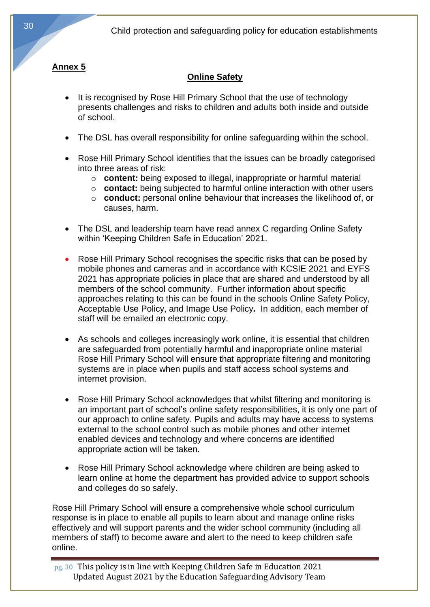## **Annex 5**

## **Online Safety**

- It is recognised by Rose Hill Primary School that the use of technology presents challenges and risks to children and adults both inside and outside of school.
- The DSL has overall responsibility for online safeguarding within the school.
- Rose Hill Primary School identifies that the issues can be broadly categorised into three areas of risk:
	- o **content:** being exposed to illegal, inappropriate or harmful material
	- o **contact:** being subjected to harmful online interaction with other users
	- o **conduct:** personal online behaviour that increases the likelihood of, or causes, harm.
- The DSL and leadership team have read annex C regarding Online Safety within 'Keeping Children Safe in Education' 2021.
- Rose Hill Primary School recognises the specific risks that can be posed by mobile phones and cameras and in accordance with KCSIE 2021 and EYFS 2021 has appropriate policies in place that are shared and understood by all members of the school community. Further information about specific approaches relating to this can be found in the schools Online Safety Policy, Acceptable Use Policy, and Image Use Policy*.* In addition, each member of staff will be emailed an electronic copy.
- As schools and colleges increasingly work online, it is essential that children are safeguarded from potentially harmful and inappropriate online material Rose Hill Primary School will ensure that appropriate filtering and monitoring systems are in place when pupils and staff access school systems and internet provision.
- Rose Hill Primary School acknowledges that whilst filtering and monitoring is an important part of school's online safety responsibilities, it is only one part of our approach to online safety. Pupils and adults may have access to systems external to the school control such as mobile phones and other internet enabled devices and technology and where concerns are identified appropriate action will be taken.
- Rose Hill Primary School acknowledge where children are being asked to learn online at home the department has provided advice to support schools and colleges do so safely.

Rose Hill Primary School will ensure a comprehensive whole school curriculum response is in place to enable all pupils to learn about and manage online risks effectively and will support parents and the wider school community (including all members of staff) to become aware and alert to the need to keep children safe online.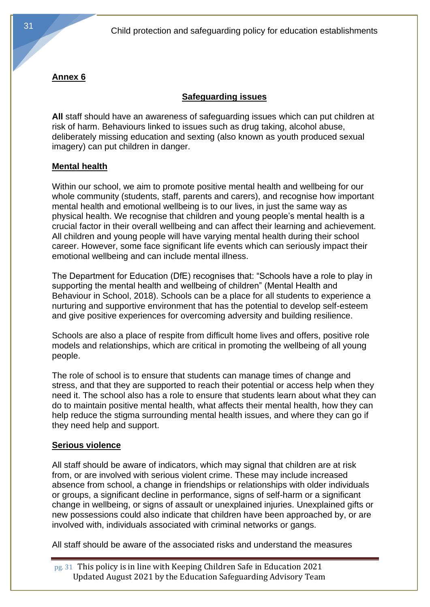## **Annex 6**

#### **Safeguarding issues**

**All** staff should have an awareness of safeguarding issues which can put children at risk of harm. Behaviours linked to issues such as drug taking, alcohol abuse, deliberately missing education and sexting (also known as youth produced sexual imagery) can put children in danger.

#### **Mental health**

Within our school, we aim to promote positive mental health and wellbeing for our whole community (students, staff, parents and carers), and recognise how important mental health and emotional wellbeing is to our lives, in just the same way as physical health. We recognise that children and young people's mental health is a crucial factor in their overall wellbeing and can affect their learning and achievement. All children and young people will have varying mental health during their school career. However, some face significant life events which can seriously impact their emotional wellbeing and can include mental illness.

The Department for Education (DfE) recognises that: "Schools have a role to play in supporting the mental health and wellbeing of children" (Mental Health and Behaviour in School, 2018). Schools can be a place for all students to experience a nurturing and supportive environment that has the potential to develop self-esteem and give positive experiences for overcoming adversity and building resilience.

Schools are also a place of respite from difficult home lives and offers, positive role models and relationships, which are critical in promoting the wellbeing of all young people.

The role of school is to ensure that students can manage times of change and stress, and that they are supported to reach their potential or access help when they need it. The school also has a role to ensure that students learn about what they can do to maintain positive mental health, what affects their mental health, how they can help reduce the stigma surrounding mental health issues, and where they can go if they need help and support.

#### **Serious violence**

All staff should be aware of indicators, which may signal that children are at risk from, or are involved with serious violent crime. These may include increased absence from school, a change in friendships or relationships with older individuals or groups, a significant decline in performance, signs of self-harm or a significant change in wellbeing, or signs of assault or unexplained injuries. Unexplained gifts or new possessions could also indicate that children have been approached by, or are involved with, individuals associated with criminal networks or gangs.

All staff should be aware of the associated risks and understand the measures

pg. 31 This policy is in line with Keeping Children Safe in Education 2021 Updated August 2021 by the Education Safeguarding Advisory Team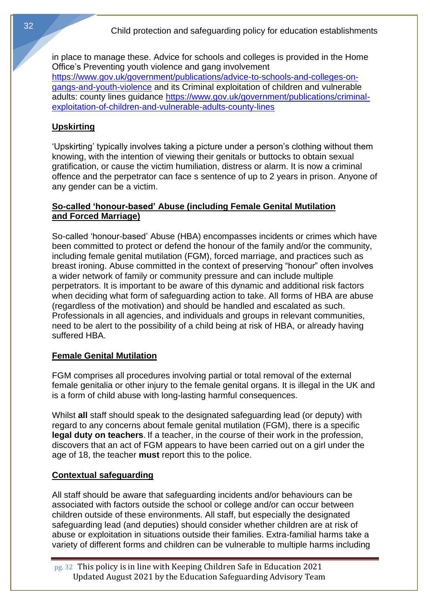in place to manage these. Advice for schools and colleges is provided in the Home Office's Preventing youth violence and gang involvement [https://www.gov.uk/government/publications/advice-to-schools-and-colleges-on](https://www.gov.uk/government/publications/advice-to-schools-and-colleges-on-gangs-and-youth-violence)[gangs-and-youth-violence](https://www.gov.uk/government/publications/advice-to-schools-and-colleges-on-gangs-and-youth-violence) and its Criminal exploitation of children and vulnerable adults: county lines guidance [https://www.gov.uk/government/publications/criminal](https://www.gov.uk/government/publications/criminal-exploitation-of-children-and-vulnerable-adults-county-lines)[exploitation-of-children-and-vulnerable-adults-county-lines](https://www.gov.uk/government/publications/criminal-exploitation-of-children-and-vulnerable-adults-county-lines)

## **Upskirting**

'Upskirting' typically involves taking a picture under a person's clothing without them knowing, with the intention of viewing their genitals or buttocks to obtain sexual gratification, or cause the victim humiliation, distress or alarm. It is now a criminal offence and the perpetrator can face s sentence of up to 2 years in prison. Anyone of any gender can be a victim.

#### **So-called 'honour-based' Abuse (including Female Genital Mutilation and Forced Marriage)**

So-called 'honour-based' Abuse (HBA) encompasses incidents or crimes which have been committed to protect or defend the honour of the family and/or the community, including female genital mutilation (FGM), forced marriage, and practices such as breast ironing. Abuse committed in the context of preserving "honour" often involves a wider network of family or community pressure and can include multiple perpetrators. It is important to be aware of this dynamic and additional risk factors when deciding what form of safeguarding action to take. All forms of HBA are abuse (regardless of the motivation) and should be handled and escalated as such. Professionals in all agencies, and individuals and groups in relevant communities, need to be alert to the possibility of a child being at risk of HBA, or already having suffered HBA.

#### **Female Genital Mutilation**

FGM comprises all procedures involving partial or total removal of the external female genitalia or other injury to the female genital organs. It is illegal in the UK and is a form of child abuse with long-lasting harmful consequences.

Whilst **all** staff should speak to the designated safeguarding lead (or deputy) with regard to any concerns about female genital mutilation (FGM), there is a specific **legal duty on teachers**. If a teacher, in the course of their work in the profession, discovers that an act of FGM appears to have been carried out on a girl under the age of 18, the teacher **must** report this to the police.

#### **Contextual safeguarding**

All staff should be aware that safeguarding incidents and/or behaviours can be associated with factors outside the school or college and/or can occur between children outside of these environments. All staff, but especially the designated safeguarding lead (and deputies) should consider whether children are at risk of abuse or exploitation in situations outside their families. Extra-familial harms take a variety of different forms and children can be vulnerable to multiple harms including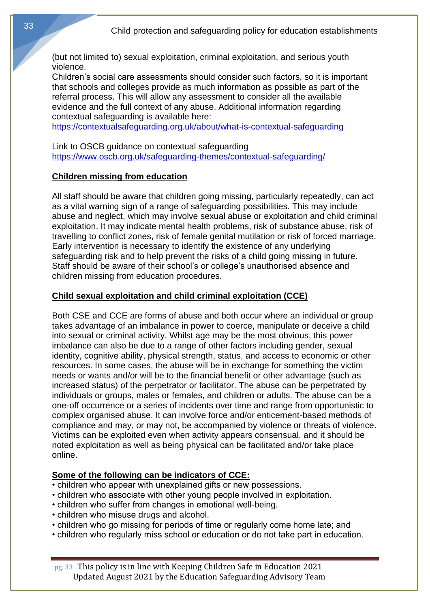(but not limited to) sexual exploitation, criminal exploitation, and serious youth violence.

Children's social care assessments should consider such factors, so it is important that schools and colleges provide as much information as possible as part of the referral process. This will allow any assessment to consider all the available evidence and the full context of any abuse. Additional information regarding contextual safeguarding is available here:

<https://contextualsafeguarding.org.uk/about/what-is-contextual-safeguarding>

Link to OSCB guidance on contextual safeguarding <https://www.oscb.org.uk/safeguarding-themes/contextual-safeguarding/>

#### **Children missing from education**

All staff should be aware that children going missing, particularly repeatedly, can act as a vital warning sign of a range of safeguarding possibilities. This may include abuse and neglect, which may involve sexual abuse or exploitation and child criminal exploitation. It may indicate mental health problems, risk of substance abuse, risk of travelling to conflict zones, risk of female genital mutilation or risk of forced marriage. Early intervention is necessary to identify the existence of any underlying safeguarding risk and to help prevent the risks of a child going missing in future. Staff should be aware of their school's or college's unauthorised absence and children missing from education procedures.

#### **Child sexual exploitation and child criminal exploitation (CCE)**

Both CSE and CCE are forms of abuse and both occur where an individual or group takes advantage of an imbalance in power to coerce, manipulate or deceive a child into sexual or criminal activity. Whilst age may be the most obvious, this power imbalance can also be due to a range of other factors including gender, sexual identity, cognitive ability, physical strength, status, and access to economic or other resources. In some cases, the abuse will be in exchange for something the victim needs or wants and/or will be to the financial benefit or other advantage (such as increased status) of the perpetrator or facilitator. The abuse can be perpetrated by individuals or groups, males or females, and children or adults. The abuse can be a one-off occurrence or a series of incidents over time and range from opportunistic to complex organised abuse. It can involve force and/or enticement-based methods of compliance and may, or may not, be accompanied by violence or threats of violence. Victims can be exploited even when activity appears consensual, and it should be noted exploitation as well as being physical can be facilitated and/or take place online.

#### **Some of the following can be indicators of CCE:**

- children who appear with unexplained gifts or new possessions.
- children who associate with other young people involved in exploitation.
- children who suffer from changes in emotional well-being.
- children who misuse drugs and alcohol.
- children who go missing for periods of time or regularly come home late; and
- children who regularly miss school or education or do not take part in education.

pg. 33 This policy is in line with Keeping Children Safe in Education 2021 Updated August 2021 by the Education Safeguarding Advisory Team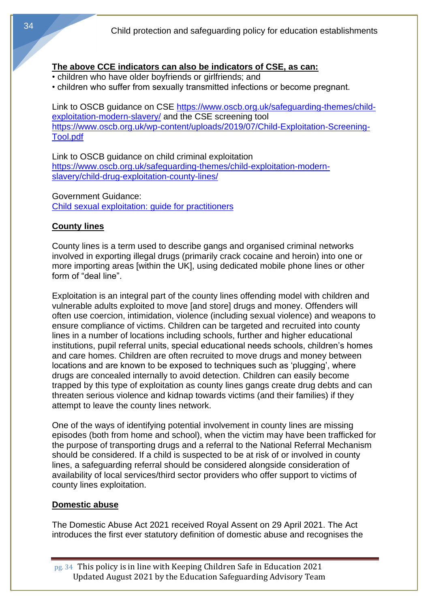#### **The above CCE indicators can also be indicators of CSE, as can:**

- children who have older boyfriends or girlfriends; and
- children who suffer from sexually transmitted infections or become pregnant.

Link to OSCB guidance on CSE [https://www.oscb.org.uk/safeguarding-themes/child](https://www.oscb.org.uk/safeguarding-themes/child-exploitation-modern-slavery/)[exploitation-modern-slavery/](https://www.oscb.org.uk/safeguarding-themes/child-exploitation-modern-slavery/) and the CSE screening tool [https://www.oscb.org.uk/wp-content/uploads/2019/07/Child-Exploitation-Screening-](https://www.oscb.org.uk/wp-content/uploads/2019/07/Child-Exploitation-Screening-Tool.pdf)[Tool.pdf](https://www.oscb.org.uk/wp-content/uploads/2019/07/Child-Exploitation-Screening-Tool.pdf)

Link to OSCB guidance on child criminal exploitation [https://www.oscb.org.uk/safeguarding-themes/child-exploitation-modern](https://www.oscb.org.uk/safeguarding-themes/child-exploitation-modern-slavery/child-drug-exploitation-county-lines/)[slavery/child-drug-exploitation-county-lines/](https://www.oscb.org.uk/safeguarding-themes/child-exploitation-modern-slavery/child-drug-exploitation-county-lines/)

Government Guidance:

[Child sexual exploitation: guide for practitioners](https://www.gov.uk/government/publications/child-sexual-exploitation-definition-and-guide-for-practitioners)

#### **County lines**

County lines is a term used to describe gangs and organised criminal networks involved in exporting illegal drugs (primarily crack cocaine and heroin) into one or more importing areas [within the UK], using dedicated mobile phone lines or other form of "deal line".

Exploitation is an integral part of the county lines offending model with children and vulnerable adults exploited to move [and store] drugs and money. Offenders will often use coercion, intimidation, violence (including sexual violence) and weapons to ensure compliance of victims. Children can be targeted and recruited into county lines in a number of locations including schools, further and higher educational institutions, pupil referral units, special educational needs schools, children's homes and care homes. Children are often recruited to move drugs and money between locations and are known to be exposed to techniques such as 'plugging', where drugs are concealed internally to avoid detection. Children can easily become trapped by this type of exploitation as county lines gangs create drug debts and can threaten serious violence and kidnap towards victims (and their families) if they attempt to leave the county lines network.

One of the ways of identifying potential involvement in county lines are missing episodes (both from home and school), when the victim may have been trafficked for the purpose of transporting drugs and a referral to the National Referral Mechanism should be considered. If a child is suspected to be at risk of or involved in county lines, a safeguarding referral should be considered alongside consideration of availability of local services/third sector providers who offer support to victims of county lines exploitation.

#### **Domestic abuse**

The Domestic Abuse Act 2021 received Royal Assent on 29 April 2021. The Act introduces the first ever statutory definition of domestic abuse and recognises the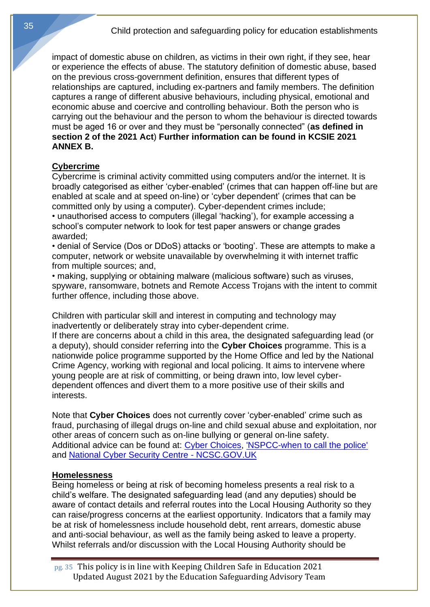impact of domestic abuse on children, as victims in their own right, if they see, hear or experience the effects of abuse. The statutory definition of domestic abuse, based on the previous cross-government definition, ensures that different types of relationships are captured, including ex-partners and family members. The definition captures a range of different abusive behaviours, including physical, emotional and economic abuse and coercive and controlling behaviour. Both the person who is carrying out the behaviour and the person to whom the behaviour is directed towards must be aged 16 or over and they must be "personally connected" (**as defined in section 2 of the 2021 Act**) **Further information can be found in KCSIE 2021 ANNEX B.**

#### **Cybercrime**

Cybercrime is criminal activity committed using computers and/or the internet. It is broadly categorised as either 'cyber-enabled' (crimes that can happen off-line but are enabled at scale and at speed on-line) or 'cyber dependent' (crimes that can be committed only by using a computer). Cyber-dependent crimes include;

• unauthorised access to computers (illegal 'hacking'), for example accessing a school's computer network to look for test paper answers or change grades awarded;

• denial of Service (Dos or DDoS) attacks or 'booting'. These are attempts to make a computer, network or website unavailable by overwhelming it with internet traffic from multiple sources; and,

• making, supplying or obtaining malware (malicious software) such as viruses, spyware, ransomware, botnets and Remote Access Trojans with the intent to commit further offence, including those above.

Children with particular skill and interest in computing and technology may inadvertently or deliberately stray into cyber-dependent crime.

If there are concerns about a child in this area, the designated safeguarding lead (or a deputy), should consider referring into the **Cyber Choices** programme. This is a nationwide police programme supported by the Home Office and led by the National Crime Agency, working with regional and local policing. It aims to intervene where young people are at risk of committing, or being drawn into, low level cyberdependent offences and divert them to a more positive use of their skills and interests.

Note that **Cyber Choices** does not currently cover 'cyber-enabled' crime such as fraud, purchasing of illegal drugs on-line and child sexual abuse and exploitation, nor other areas of concern such as on-line bullying or general on-line safety. Additional advice can be found at: [Cyber Choices,](http://www.cyberchoices.uk/) ['NSPCC-when to call the police'](https://www.npcc.police.uk/documents/Children%20and%20Young%20people/When%20to%20call%20the%20police%20guidance%20for%20schools%20and%20colleges.pdf) and [National Cyber Security Centre -](https://www.ncsc.gov.uk/) NCSC.GOV.UK

#### **Homelessness**

Being homeless or being at risk of becoming homeless presents a real risk to a child's welfare. The designated safeguarding lead (and any deputies) should be aware of contact details and referral routes into the Local Housing Authority so they can raise/progress concerns at the earliest opportunity. Indicators that a family may be at risk of homelessness include household debt, rent arrears, domestic abuse and anti-social behaviour, as well as the family being asked to leave a property. Whilst referrals and/or discussion with the Local Housing Authority should be

pg. 35 This policy is in line with Keeping Children Safe in Education 2021 Updated August 2021 by the Education Safeguarding Advisory Team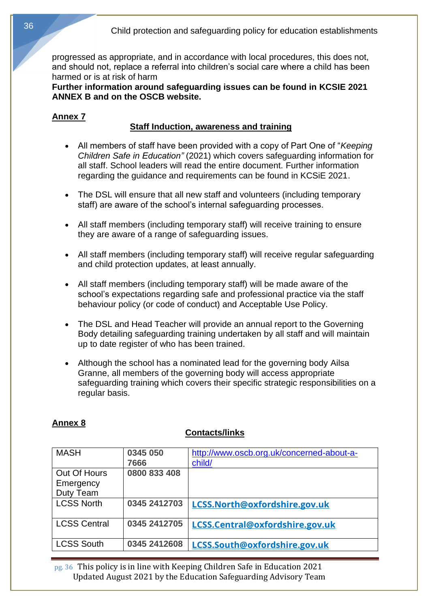progressed as appropriate, and in accordance with local procedures, this does not, and should not, replace a referral into children's social care where a child has been harmed or is at risk of harm

**Further information around safeguarding issues can be found in KCSIE 2021 ANNEX B and on the OSCB website.**

## **Annex 7**

#### **Staff Induction, awareness and training**

- All members of staff have been provided with a copy of Part One of "*Keeping Children Safe in Education"* (2021) which covers safeguarding information for all staff. School leaders will read the entire document. Further information regarding the guidance and requirements can be found in KCSiE 2021.
- The DSL will ensure that all new staff and volunteers (including temporary staff) are aware of the school's internal safeguarding processes.
- All staff members (including temporary staff) will receive training to ensure they are aware of a range of safeguarding issues.
- All staff members (including temporary staff) will receive regular safeguarding and child protection updates, at least annually.
- All staff members (including temporary staff) will be made aware of the school's expectations regarding safe and professional practice via the staff behaviour policy (or code of conduct) and Acceptable Use Policy.
- The DSL and Head Teacher will provide an annual report to the Governing Body detailing safeguarding training undertaken by all staff and will maintain up to date register of who has been trained.
- Although the school has a nominated lead for the governing body Ailsa Granne, all members of the governing body will access appropriate safeguarding training which covers their specific strategic responsibilities on a regular basis.

| <b>MASH</b>         | 0345 050     | http://www.oscb.org.uk/concerned-about-a- |
|---------------------|--------------|-------------------------------------------|
|                     | 7666         | child/                                    |
| Out Of Hours        | 0800 833 408 |                                           |
| Emergency           |              |                                           |
| Duty Team           |              |                                           |
| <b>LCSS North</b>   | 0345 2412703 | LCSS.North@oxfordshire.gov.uk             |
|                     |              |                                           |
| <b>LCSS Central</b> | 0345 2412705 | LCSS.Central@oxfordshire.gov.uk           |
|                     |              |                                           |
| <b>LCSS South</b>   | 0345 2412608 | LCSS.South@oxfordshire.gov.uk             |
|                     |              |                                           |

## **Annex 8**

#### **Contacts/links**

pg. 36 This policy is in line with Keeping Children Safe in Education 2021 Updated August 2021 by the Education Safeguarding Advisory Team